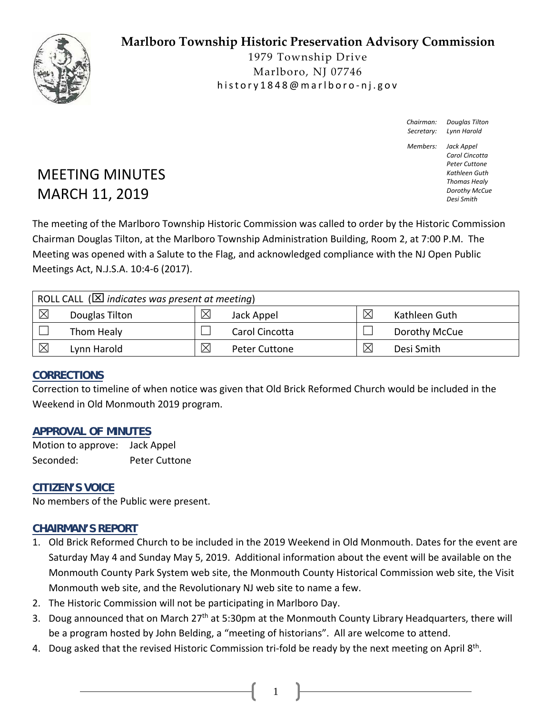## **Marlboro Township Historic Preservation Advisory Commission**



1979 Township Drive Marlboro, NJ 07746 history1848@marlboro ‐ nj.gov

> *Chairman: Douglas Tilton Secretary: Lynn Harold*

*Members: Jack Appel Carol Cincotta Peter Cuttone Kathleen Guth Thomas Healy Dorothy McCue Desi Smith*

# MEETING MINUTES MARCH 11, 2019

The meeting of the Marlboro Township Historic Commission was called to order by the Historic Commission Chairman Douglas Tilton, at the Marlboro Township Administration Building, Room 2, at 7:00 P.M. The Meeting was opened with a Salute to the Flag, and acknowledged compliance with the NJ Open Public Meetings Act, N.J.S.A. 10:4‐6 (2017).

| ROLL CALL ( $\boxtimes$ indicates was present at meeting) |                |             |                      |   |               |  |
|-----------------------------------------------------------|----------------|-------------|----------------------|---|---------------|--|
| $\times$                                                  | Douglas Tilton | $\boxtimes$ | Jack Appel           | ⊠ | Kathleen Guth |  |
|                                                           | Thom Healy     |             | Carol Cincotta       |   | Dorothy McCue |  |
| $\times$                                                  | Lynn Harold    | $\times$    | <b>Peter Cuttone</b> | ⊠ | Desi Smith    |  |

### **CORRECTIONS**

Correction to timeline of when notice was given that Old Brick Reformed Church would be included in the Weekend in Old Monmouth 2019 program.

### **APPROVAL OF MINUTES**

Motion to approve: Jack Appel Seconded: Peter Cuttone

### **CITIZEN'S VOICE**

No members of the Public were present.

### **CHAIRMAN'S REPORT**

- 1. Old Brick Reformed Church to be included in the 2019 Weekend in Old Monmouth. Dates for the event are Saturday May 4 and Sunday May 5, 2019. Additional information about the event will be available on the Monmouth County Park System web site, the Monmouth County Historical Commission web site, the Visit Monmouth web site, and the Revolutionary NJ web site to name a few.
- 2. The Historic Commission will not be participating in Marlboro Day.
- 3. Doug announced that on March 27<sup>th</sup> at 5:30pm at the Monmouth County Library Headquarters, there will be a program hosted by John Belding, a "meeting of historians". All are welcome to attend.

1

4. Doug asked that the revised Historic Commission tri-fold be ready by the next meeting on April 8<sup>th</sup>.